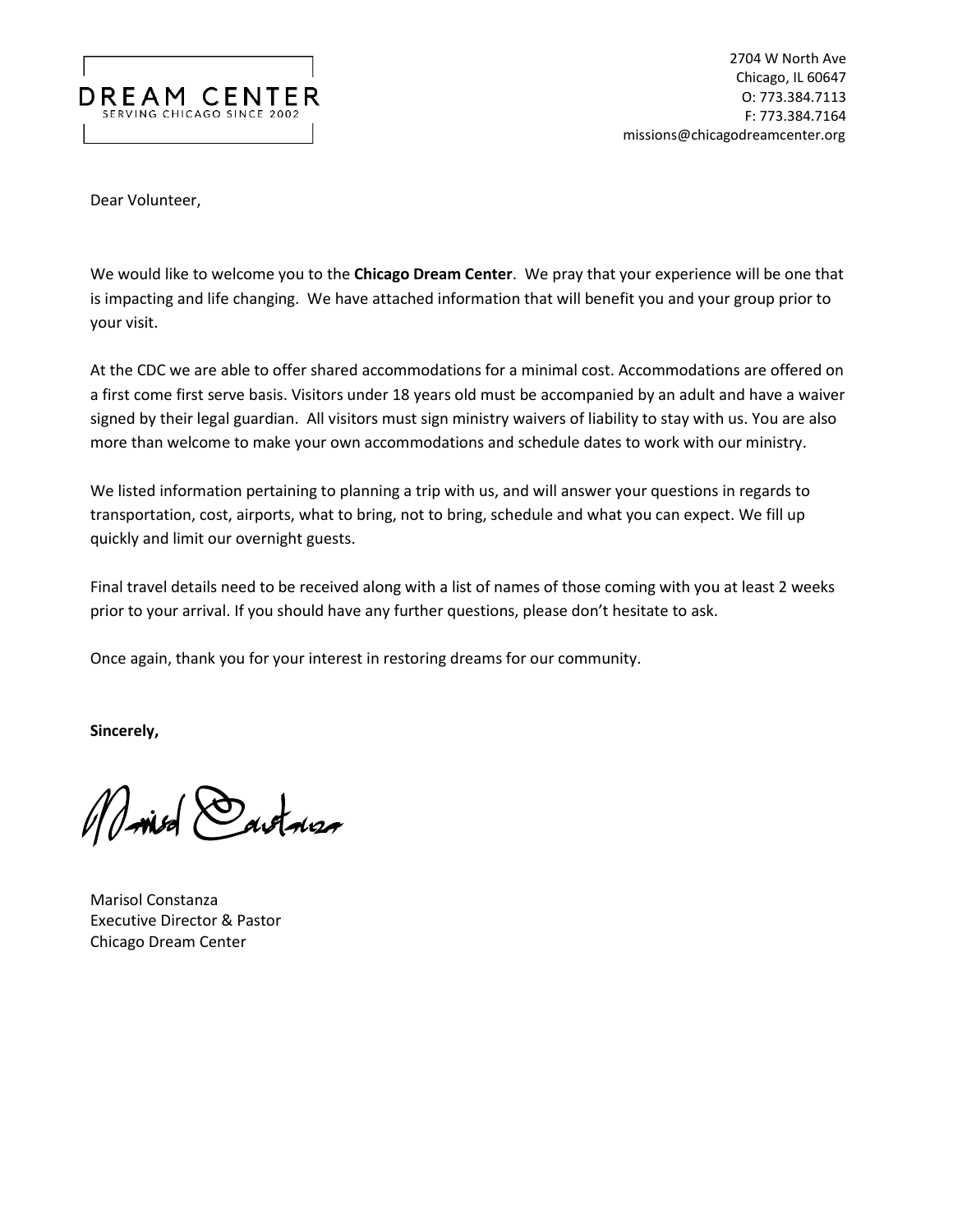

2704 W North Ave Chicago, IL 60647 O: 773.384.7113 F: 773.384.7164 missions@chicagodreamcenter.org

Dear Volunteer,

We would like to welcome you to the **Chicago Dream Center**. We pray that your experience will be one that is impacting and life changing. We have attached information that will benefit you and your group prior to your visit.

At the CDC we are able to offer shared accommodations for a minimal cost. Accommodations are offered on a first come first serve basis. Visitors under 18 years old must be accompanied by an adult and have a waiver signed by their legal guardian. All visitors must sign ministry waivers of liability to stay with us. You are also more than welcome to make your own accommodations and schedule dates to work with our ministry.

We listed information pertaining to planning a trip with us, and will answer your questions in regards to transportation, cost, airports, what to bring, not to bring, schedule and what you can expect. We fill up quickly and limit our overnight guests.

Final travel details need to be received along with a list of names of those coming with you at least 2 weeks prior to your arrival. If you should have any further questions, please don't hesitate to ask.

Once again, thank you for your interest in restoring dreams for our community.

**Sincerely,**

Marisol Constanza

Marisol Constanza Executive Director & Pastor Chicago Dream Center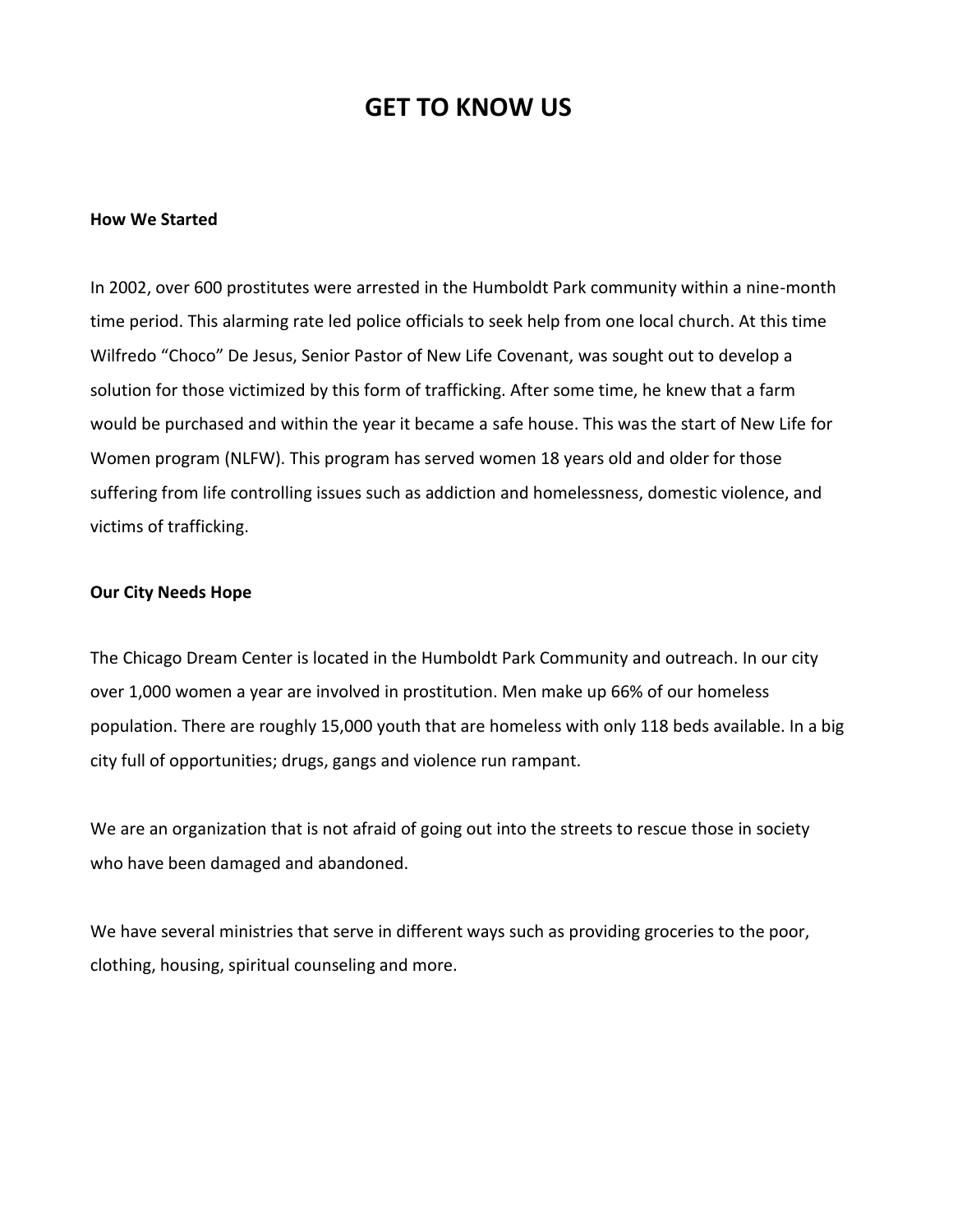### **GET TO KNOW US**

#### **How We Started**

In 2002, over 600 prostitutes were arrested in the Humboldt Park community within a nine-month time period. This alarming rate led police officials to seek help from one local church. At this time Wilfredo "Choco" De Jesus, Senior Pastor of New Life Covenant, was sought out to develop a solution for those victimized by this form of trafficking. After some time, he knew that a farm would be purchased and within the year it became a safe house. This was the start of New Life for Women program (NLFW). This program has served women 18 years old and older for those suffering from life controlling issues such as addiction and homelessness, domestic violence, and victims of trafficking.

#### **Our City Needs Hope**

The Chicago Dream Center is located in the Humboldt Park Community and outreach. In our city over 1,000 women a year are involved in prostitution. Men make up 66% of our homeless population. There are roughly 15,000 youth that are homeless with only 118 beds available. In a big city full of opportunities; drugs, gangs and violence run rampant.

We are an organization that is not afraid of going out into the streets to rescue those in society who have been damaged and abandoned.

We have several ministries that serve in different ways such as providing groceries to the poor, clothing, housing, spiritual counseling and more.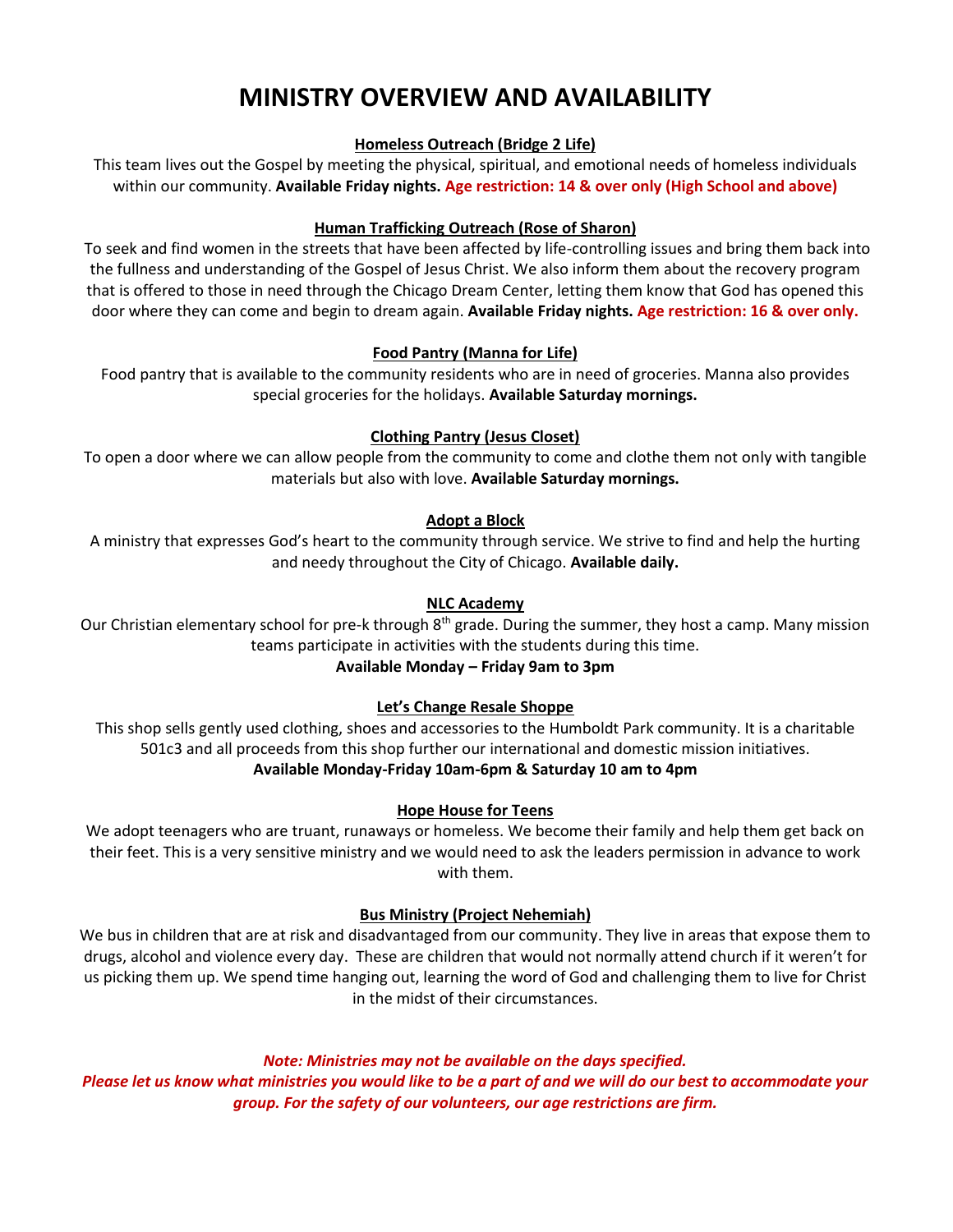## **MINISTRY OVERVIEW AND AVAILABILITY**

#### **Homeless Outreach (Bridge 2 Life)**

This team lives out the Gospel by meeting the physical, spiritual, and emotional needs of homeless individuals within our community. **Available Friday nights. Age restriction: 14 & over only (High School and above)**

#### **Human Trafficking Outreach (Rose of Sharon)**

To seek and find women in the streets that have been affected by life-controlling issues and bring them back into the fullness and understanding of the Gospel of Jesus Christ. We also inform them about the recovery program that is offered to those in need through the Chicago Dream Center, letting them know that God has opened this door where they can come and begin to dream again. **Available Friday nights. Age restriction: 16 & over only.** 

#### **Food Pantry (Manna for Life)**

Food pantry that is available to the community residents who are in need of groceries. Manna also provides special groceries for the holidays. **Available Saturday mornings.**

#### **Clothing Pantry (Jesus Closet)**

To open a door where we can allow people from the community to come and clothe them not only with tangible materials but also with love. **Available Saturday mornings.**

#### **Adopt a Block**

A ministry that expresses God's heart to the community through service. We strive to find and help the hurting and needy throughout the City of Chicago. **Available daily.**

#### **NLC Academy**

Our Christian elementary school for pre-k through 8<sup>th</sup> grade. During the summer, they host a camp. Many mission teams participate in activities with the students during this time.

### **Available Monday – Friday 9am to 3pm**

#### **Let's Change Resale Shoppe**

This shop sells gently used clothing, shoes and accessories to the Humboldt Park community. It is a charitable 501c3 and all proceeds from this shop further our international and domestic mission initiatives. **Available Monday-Friday 10am-6pm & Saturday 10 am to 4pm**

#### **Hope House for Teens**

We adopt teenagers who are truant, runaways or homeless. We become their family and help them get back on their feet. This is a very sensitive ministry and we would need to ask the leaders permission in advance to work with them.

#### **Bus Ministry (Project Nehemiah)**

We bus in children that are at risk and disadvantaged from our community. They live in areas that expose them to drugs, alcohol and violence every day. These are children that would not normally attend church if it weren't for us picking them up. We spend time hanging out, learning the word of God and challenging them to live for Christ in the midst of their circumstances.

#### *Note: Ministries may not be available on the days specified.*

*Please let us know what ministries you would like to be a part of and we will do our best to accommodate your group. For the safety of our volunteers, our age restrictions are firm.*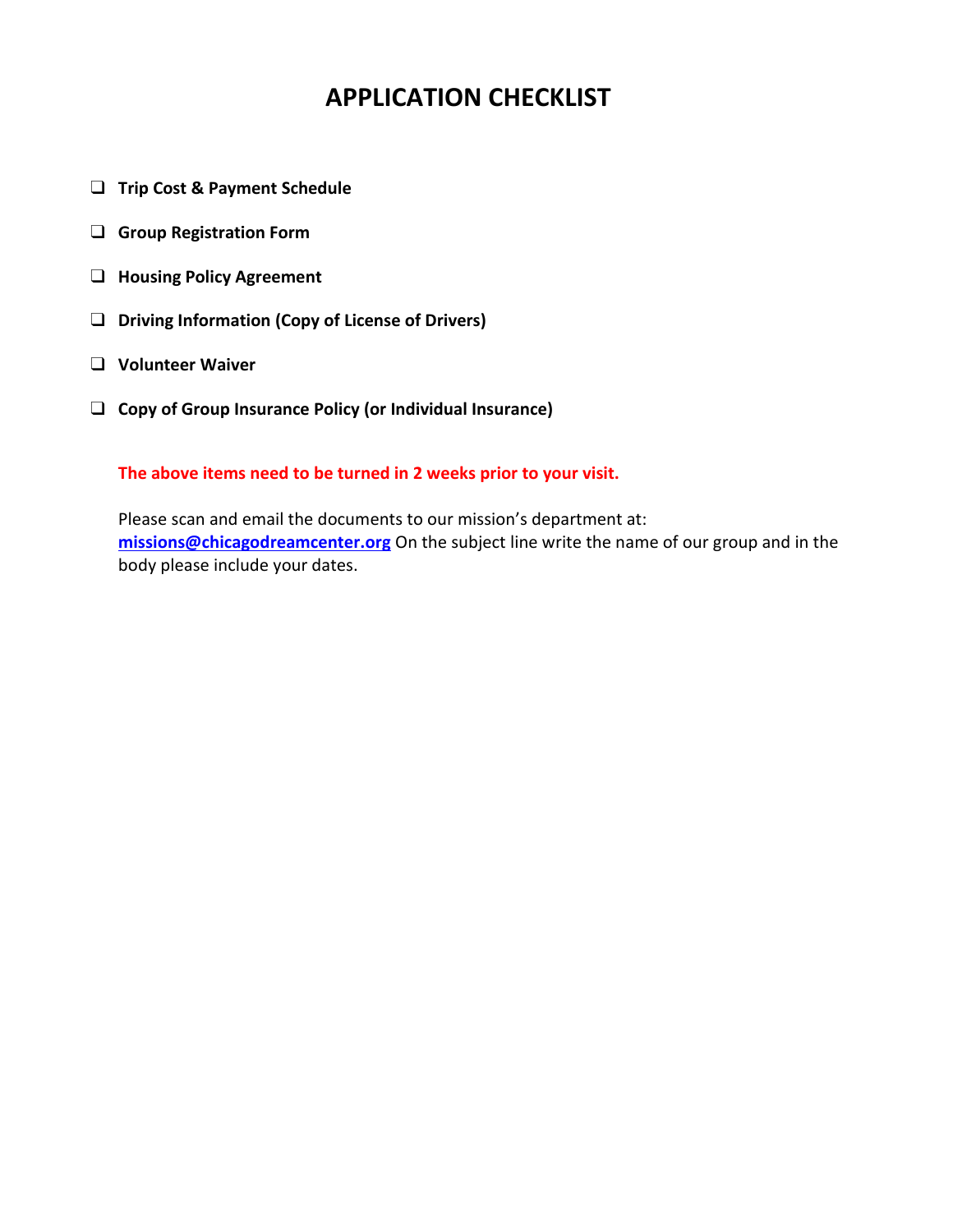# **APPLICATION CHECKLIST**

- ❑ **Trip Cost & Payment Schedule**
- ❑ **Group Registration Form**
- ❑ **Housing Policy Agreement**
- ❑ **Driving Information (Copy of License of Drivers)**
- ❑ **Volunteer Waiver**
- ❑ **Copy of Group Insurance Policy (or Individual Insurance)**

### **The above items need to be turned in 2 weeks prior to your visit.**

Please scan and email the documents to our mission's department at: **[missions@chicagodreamcenter.org](mailto:missions@chicagodreamcenter.org)** On the subject line write the name of our group and in the body please include your dates.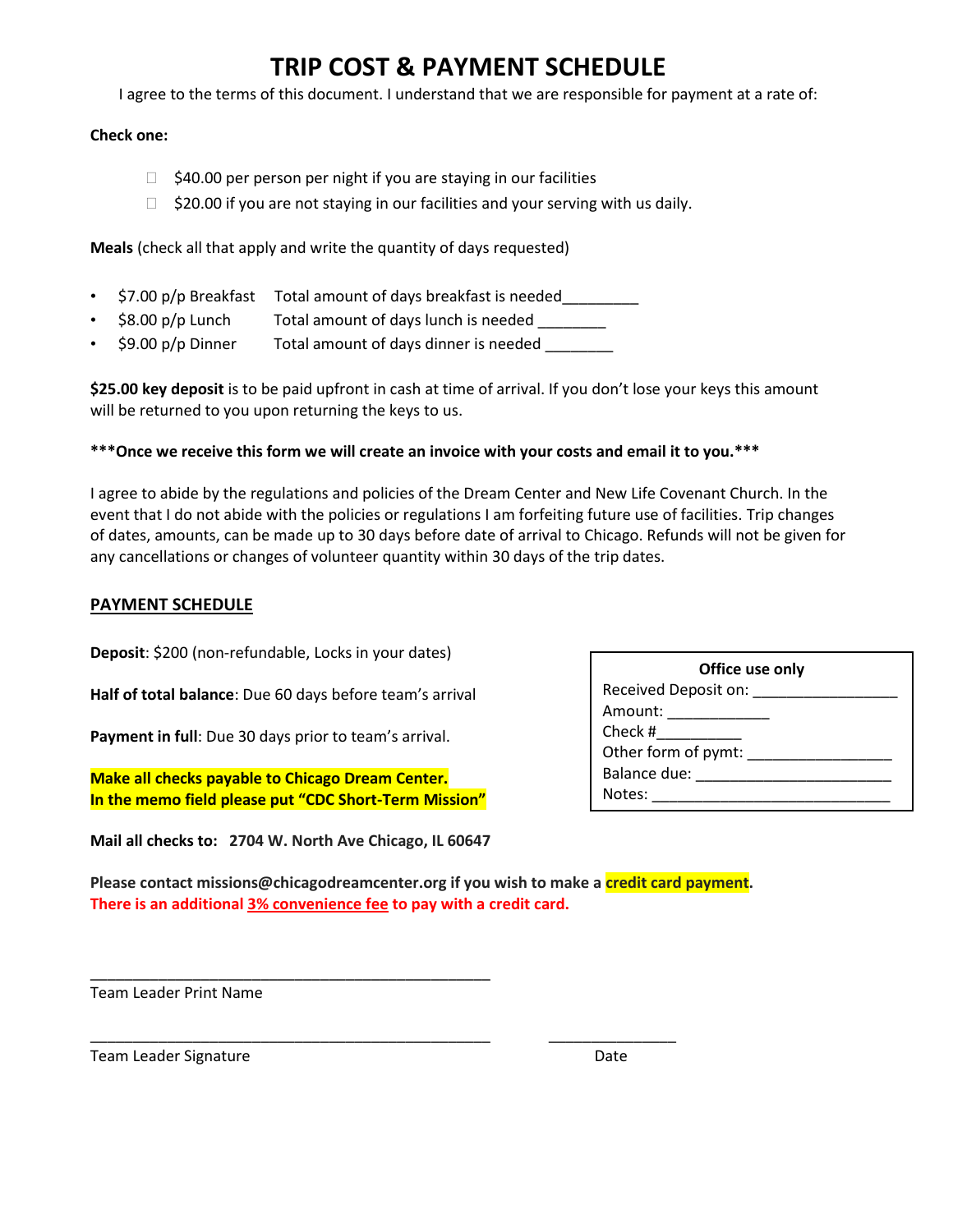### **TRIP COST & PAYMENT SCHEDULE**

I agree to the terms of this document. I understand that we are responsible for payment at a rate of:

#### **Check one:**

- $\Box$  \$40.00 per person per night if you are staying in our facilities
- $\Box$  \$20.00 if you are not staying in our facilities and your serving with us daily.

**Meals** (check all that apply and write the quantity of days requested)

- \$7.00 p/p Breakfast Total amount of days breakfast is needed\_\_\_\_\_\_\_\_
- \$8.00 p/p Lunch Total amount of days lunch is needed
- \$9.00 p/p Dinner Total amount of days dinner is needed

**\$25.00 key deposit** is to be paid upfront in cash at time of arrival. If you don't lose your keys this amount will be returned to you upon returning the keys to us.

#### **\*\*\*Once we receive this form we will create an invoice with your costs and email it to you.\*\*\***

I agree to abide by the regulations and policies of the Dream Center and New Life Covenant Church. In the event that I do not abide with the policies or regulations I am forfeiting future use of facilities. Trip changes of dates, amounts, can be made up to 30 days before date of arrival to Chicago. Refunds will not be given for any cancellations or changes of volunteer quantity within 30 days of the trip dates.

#### **PAYMENT SCHEDULE**

**Deposit**: \$200 (non-refundable, Locks in your dates)

**Half of total balance**: Due 60 days before team's arrival

**Payment in full**: Due 30 days prior to team's arrival.

**Make all checks payable to Chicago Dream Center. In the memo field please put "CDC Short-Term Mission"** 

**Mail all checks to: 2704 W. North Ave Chicago, IL 60647**

\_\_\_\_\_\_\_\_\_\_\_\_\_\_\_\_\_\_\_\_\_\_\_\_\_\_\_\_\_\_\_\_\_\_\_\_\_\_\_\_\_\_\_\_\_\_\_

| Office use only      |
|----------------------|
| Received Deposit on: |
| Amount:              |
| Check #              |
| Other form of pymt:  |
| Balance due:         |
| Notes:               |

**Please contact missions@chicagodreamcenter.org if you wish to make a credit card payment. There is an additional 3% convenience fee to pay with a credit card.** 

\_\_\_\_\_\_\_\_\_\_\_\_\_\_\_\_\_\_\_\_\_\_\_\_\_\_\_\_\_\_\_\_\_\_\_\_\_\_\_\_\_\_\_\_\_\_\_ \_\_\_\_\_\_\_\_\_\_\_\_\_\_\_

Team Leader Print Name

Team Leader Signature **Date** Date **Date**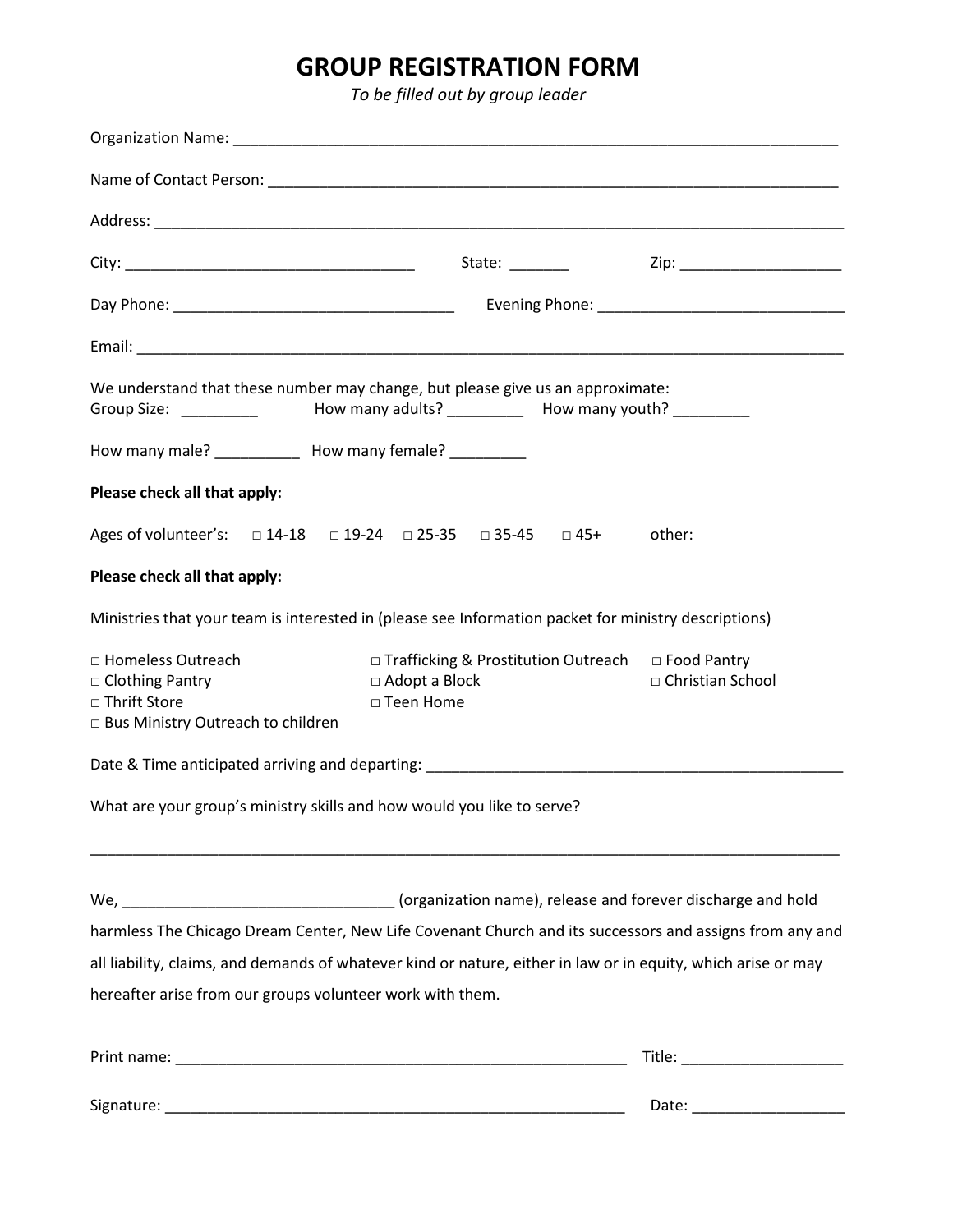# **GROUP REGISTRATION FORM**

*To be filled out by group leader*

| We understand that these number may change, but please give us an approximate:<br>Group Size: ___________ How many adults? __________ How many youth? _________ |                                |  |  |                                                                                                         |  |
|-----------------------------------------------------------------------------------------------------------------------------------------------------------------|--------------------------------|--|--|---------------------------------------------------------------------------------------------------------|--|
| How many male? ____________ How many female? __________                                                                                                         |                                |  |  |                                                                                                         |  |
| Please check all that apply:                                                                                                                                    |                                |  |  |                                                                                                         |  |
| Ages of volunteer's: □ 14-18 □ 19-24 □ 25-35 □ 35-45 □ 45+ other:                                                                                               |                                |  |  |                                                                                                         |  |
| Please check all that apply:                                                                                                                                    |                                |  |  |                                                                                                         |  |
| Ministries that your team is interested in (please see Information packet for ministry descriptions)                                                            |                                |  |  |                                                                                                         |  |
| □ Homeless Outreach<br>□ Clothing Pantry<br>□ Thrift Store<br>□ Bus Ministry Outreach to children                                                               | □ Adopt a Block<br>□ Teen Home |  |  | $\Box$ Trafficking & Prostitution Outreach $\Box$ Food Pantry<br>□ Christian School                     |  |
| Date & Time anticipated arriving and departing: Date of the Secondary of the Secondary of the Secondary of the                                                  |                                |  |  |                                                                                                         |  |
| What are your group's ministry skills and how would you like to serve?                                                                                          |                                |  |  |                                                                                                         |  |
|                                                                                                                                                                 |                                |  |  |                                                                                                         |  |
|                                                                                                                                                                 |                                |  |  | harmless The Chicago Dream Center, New Life Covenant Church and its successors and assigns from any and |  |
| all liability, claims, and demands of whatever kind or nature, either in law or in equity, which arise or may                                                   |                                |  |  |                                                                                                         |  |
| hereafter arise from our groups volunteer work with them.                                                                                                       |                                |  |  |                                                                                                         |  |
|                                                                                                                                                                 |                                |  |  | Title: ______________________                                                                           |  |
|                                                                                                                                                                 |                                |  |  |                                                                                                         |  |
|                                                                                                                                                                 |                                |  |  |                                                                                                         |  |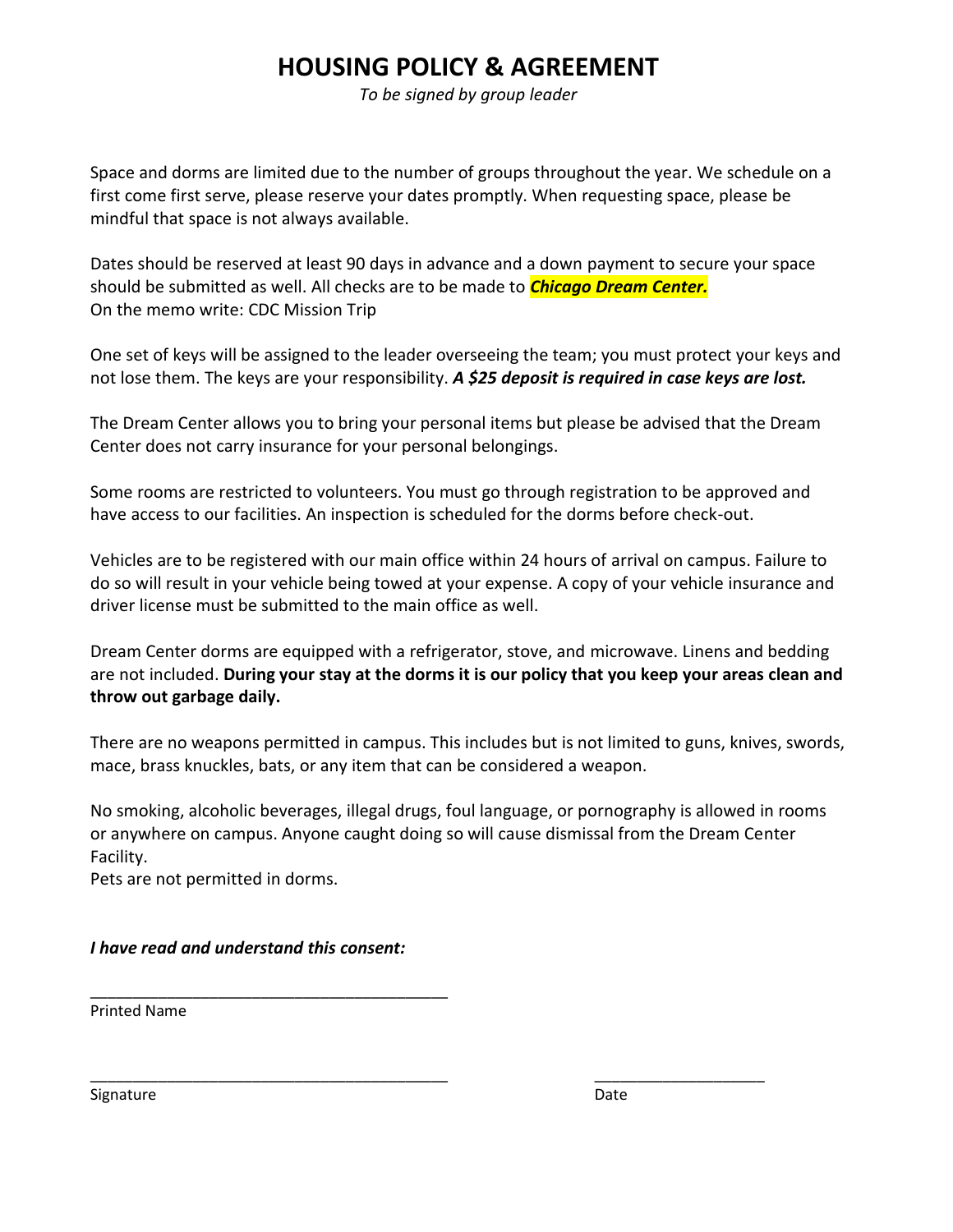# **HOUSING POLICY & AGREEMENT**

*To be signed by group leader*

Space and dorms are limited due to the number of groups throughout the year. We schedule on a first come first serve, please reserve your dates promptly. When requesting space, please be mindful that space is not always available.

Dates should be reserved at least 90 days in advance and a down payment to secure your space should be submitted as well. All checks are to be made to *Chicago Dream Center.* On the memo write: CDC Mission Trip

One set of keys will be assigned to the leader overseeing the team; you must protect your keys and not lose them. The keys are your responsibility. *A \$25 deposit is required in case keys are lost.*

The Dream Center allows you to bring your personal items but please be advised that the Dream Center does not carry insurance for your personal belongings.

Some rooms are restricted to volunteers. You must go through registration to be approved and have access to our facilities. An inspection is scheduled for the dorms before check-out.

Vehicles are to be registered with our main office within 24 hours of arrival on campus. Failure to do so will result in your vehicle being towed at your expense. A copy of your vehicle insurance and driver license must be submitted to the main office as well.

Dream Center dorms are equipped with a refrigerator, stove, and microwave. Linens and bedding are not included. **During your stay at the dorms it is our policy that you keep your areas clean and throw out garbage daily.**

There are no weapons permitted in campus. This includes but is not limited to guns, knives, swords, mace, brass knuckles, bats, or any item that can be considered a weapon.

No smoking, alcoholic beverages, illegal drugs, foul language, or pornography is allowed in rooms or anywhere on campus. Anyone caught doing so will cause dismissal from the Dream Center Facility.

\_\_\_\_\_\_\_\_\_\_\_\_\_\_\_\_\_\_\_\_\_\_\_\_\_\_\_\_\_\_\_\_\_\_\_\_\_\_\_\_\_\_ \_\_\_\_\_\_\_\_\_\_\_\_\_\_\_\_\_\_\_\_

Pets are not permitted in dorms.

*I have read and understand this consent:*

\_\_\_\_\_\_\_\_\_\_\_\_\_\_\_\_\_\_\_\_\_\_\_\_\_\_\_\_\_\_\_\_\_\_\_\_\_\_\_\_\_\_

Printed Name

Signature Date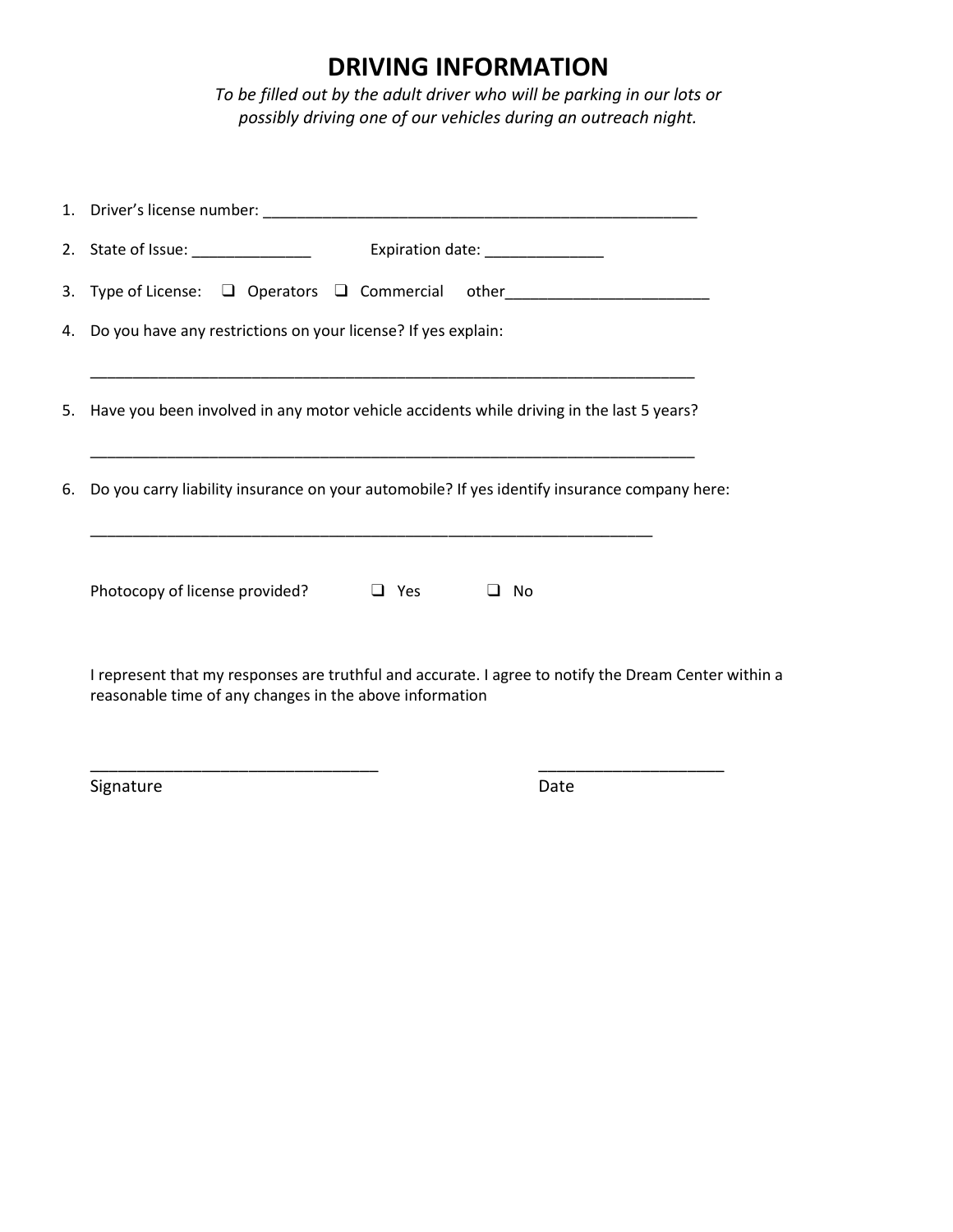### **DRIVING INFORMATION**

*To be filled out by the adult driver who will be parking in our lots or possibly driving one of our vehicles during an outreach night.*

| 3. Type of License: $\Box$ Operators $\Box$ Commercial other________________________                                                                            |  |  |  |  |
|-----------------------------------------------------------------------------------------------------------------------------------------------------------------|--|--|--|--|
| 4. Do you have any restrictions on your license? If yes explain:                                                                                                |  |  |  |  |
| 5. Have you been involved in any motor vehicle accidents while driving in the last 5 years?                                                                     |  |  |  |  |
| 6. Do you carry liability insurance on your automobile? If yes identify insurance company here:                                                                 |  |  |  |  |
| Photocopy of license provided?<br>$\Box$ Yes<br>$\Box$ No                                                                                                       |  |  |  |  |
| I represent that my responses are truthful and accurate. I agree to notify the Dream Center within a<br>reasonable time of any changes in the above information |  |  |  |  |

\_\_\_\_\_\_\_\_\_\_\_\_\_\_\_\_\_\_\_\_\_\_\_\_\_\_\_\_\_\_\_ \_\_\_\_\_\_\_\_\_\_\_\_\_\_\_\_\_\_\_\_

Signature Date Date Date Date